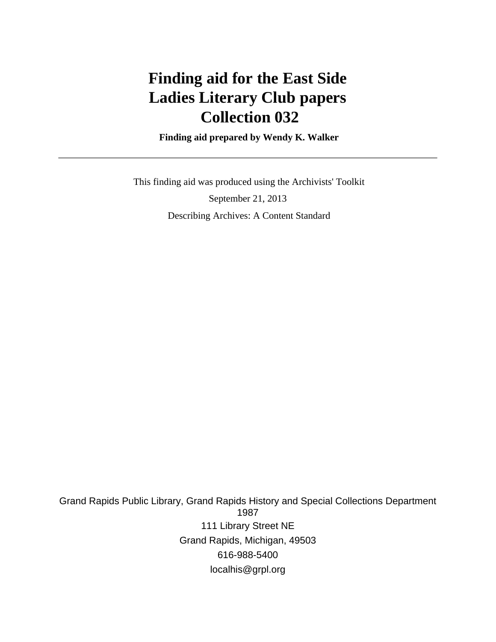# **Finding aid for the East Side Ladies Literary Club papers Collection 032**

 **Finding aid prepared by Wendy K. Walker**

 This finding aid was produced using the Archivists' Toolkit September 21, 2013 Describing Archives: A Content Standard

Grand Rapids Public Library, Grand Rapids History and Special Collections Department 1987 111 Library Street NE Grand Rapids, Michigan, 49503 616-988-5400 localhis@grpl.org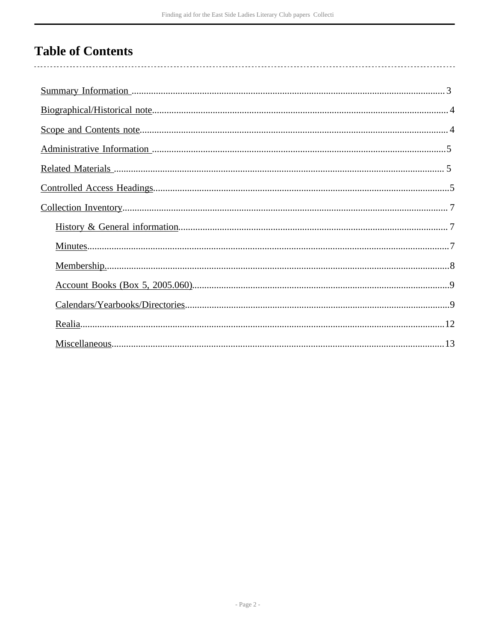# **Table of Contents**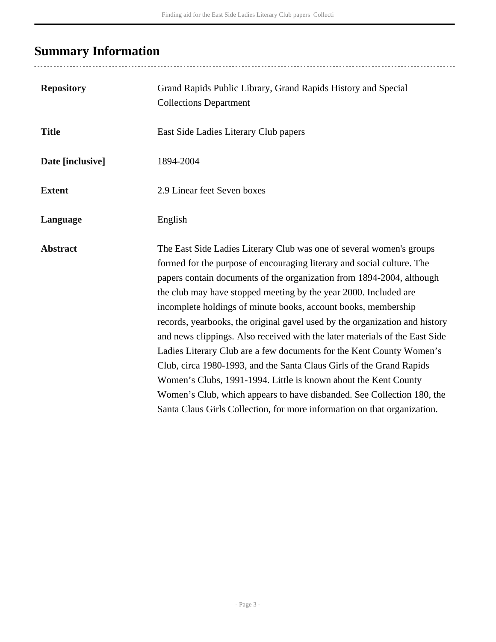# <span id="page-2-0"></span>**Summary Information**

..................................

| <b>Repository</b> | Grand Rapids Public Library, Grand Rapids History and Special<br><b>Collections Department</b>                                                                                                                                                                                                                                                                                                                                                                                                                                                                                                                                                                                                                                                                                                                                                                                                       |
|-------------------|------------------------------------------------------------------------------------------------------------------------------------------------------------------------------------------------------------------------------------------------------------------------------------------------------------------------------------------------------------------------------------------------------------------------------------------------------------------------------------------------------------------------------------------------------------------------------------------------------------------------------------------------------------------------------------------------------------------------------------------------------------------------------------------------------------------------------------------------------------------------------------------------------|
| <b>Title</b>      | East Side Ladies Literary Club papers                                                                                                                                                                                                                                                                                                                                                                                                                                                                                                                                                                                                                                                                                                                                                                                                                                                                |
| Date [inclusive]  | 1894-2004                                                                                                                                                                                                                                                                                                                                                                                                                                                                                                                                                                                                                                                                                                                                                                                                                                                                                            |
| <b>Extent</b>     | 2.9 Linear feet Seven boxes                                                                                                                                                                                                                                                                                                                                                                                                                                                                                                                                                                                                                                                                                                                                                                                                                                                                          |
| Language          | English                                                                                                                                                                                                                                                                                                                                                                                                                                                                                                                                                                                                                                                                                                                                                                                                                                                                                              |
| <b>Abstract</b>   | The East Side Ladies Literary Club was one of several women's groups<br>formed for the purpose of encouraging literary and social culture. The<br>papers contain documents of the organization from 1894-2004, although<br>the club may have stopped meeting by the year 2000. Included are<br>incomplete holdings of minute books, account books, membership<br>records, yearbooks, the original gavel used by the organization and history<br>and news clippings. Also received with the later materials of the East Side<br>Ladies Literary Club are a few documents for the Kent County Women's<br>Club, circa 1980-1993, and the Santa Claus Girls of the Grand Rapids<br>Women's Clubs, 1991-1994. Little is known about the Kent County<br>Women's Club, which appears to have disbanded. See Collection 180, the<br>Santa Claus Girls Collection, for more information on that organization. |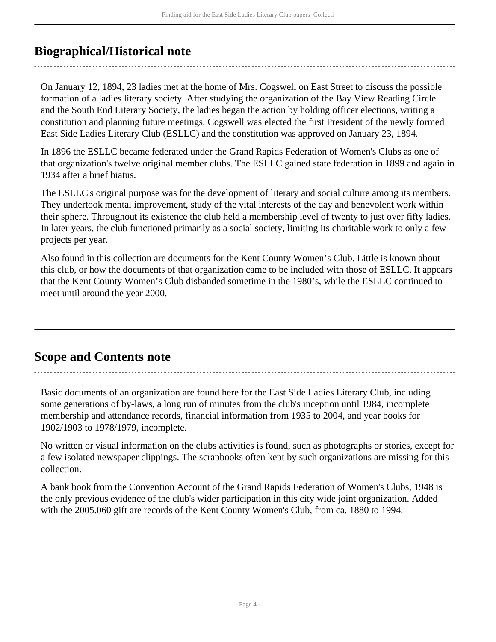## <span id="page-3-0"></span>**Biographical/Historical note**

On January 12, 1894, 23 ladies met at the home of Mrs. Cogswell on East Street to discuss the possible formation of a ladies literary society. After studying the organization of the Bay View Reading Circle and the South End Literary Society, the ladies began the action by holding officer elections, writing a constitution and planning future meetings. Cogswell was elected the first President of the newly formed East Side Ladies Literary Club (ESLLC) and the constitution was approved on January 23, 1894.

In 1896 the ESLLC became federated under the Grand Rapids Federation of Women's Clubs as one of that organization's twelve original member clubs. The ESLLC gained state federation in 1899 and again in 1934 after a brief hiatus.

The ESLLC's original purpose was for the development of literary and social culture among its members. They undertook mental improvement, study of the vital interests of the day and benevolent work within their sphere. Throughout its existence the club held a membership level of twenty to just over fifty ladies. In later years, the club functioned primarily as a social society, limiting its charitable work to only a few projects per year.

Also found in this collection are documents for the Kent County Women's Club. Little is known about this club, or how the documents of that organization came to be included with those of ESLLC. It appears that the Kent County Women's Club disbanded sometime in the 1980's, while the ESLLC continued to meet until around the year 2000.

## <span id="page-3-1"></span>**Scope and Contents note**

Basic documents of an organization are found here for the East Side Ladies Literary Club, including some generations of by-laws, a long run of minutes from the club's inception until 1984, incomplete membership and attendance records, financial information from 1935 to 2004, and year books for 1902/1903 to 1978/1979, incomplete.

No written or visual information on the clubs activities is found, such as photographs or stories, except for a few isolated newspaper clippings. The scrapbooks often kept by such organizations are missing for this collection.

A bank book from the Convention Account of the Grand Rapids Federation of Women's Clubs, 1948 is the only previous evidence of the club's wider participation in this city wide joint organization. Added with the 2005.060 gift are records of the Kent County Women's Club, from ca. 1880 to 1994.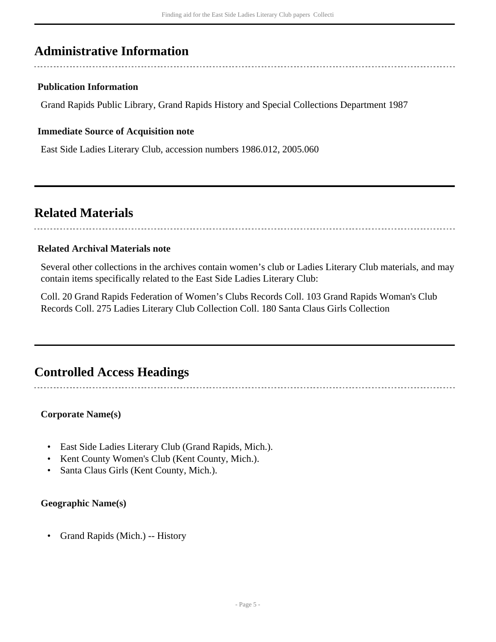### <span id="page-4-0"></span>**Administrative Information**

#### **Publication Information**

Grand Rapids Public Library, Grand Rapids History and Special Collections Department 1987

#### **Immediate Source of Acquisition note**

East Side Ladies Literary Club, accession numbers 1986.012, 2005.060

### <span id="page-4-1"></span>**Related Materials**

#### **Related Archival Materials note**

Several other collections in the archives contain women's club or Ladies Literary Club materials, and may contain items specifically related to the East Side Ladies Literary Club:

Coll. 20 Grand Rapids Federation of Women's Clubs Records Coll. 103 Grand Rapids Woman's Club Records Coll. 275 Ladies Literary Club Collection Coll. 180 Santa Claus Girls Collection

### <span id="page-4-2"></span>**Controlled Access Headings**

**Corporate Name(s)**

- East Side Ladies Literary Club (Grand Rapids, Mich.).
- Kent County Women's Club (Kent County, Mich.).
- Santa Claus Girls (Kent County, Mich.).

#### **Geographic Name(s)**

• Grand Rapids (Mich.) -- History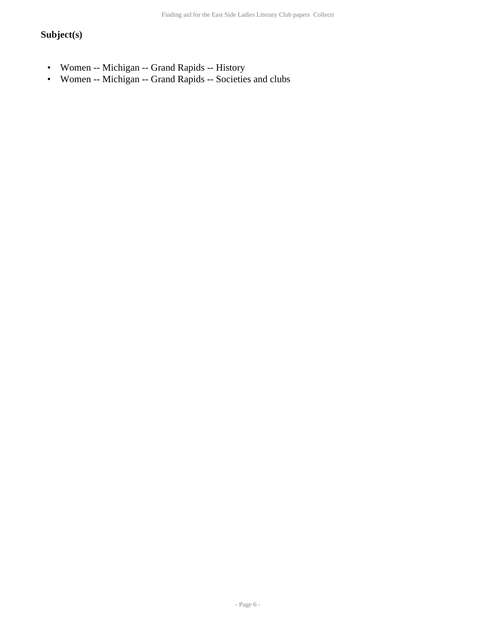### **Subject(s)**

- Women -- Michigan -- Grand Rapids -- History
- Women -- Michigan -- Grand Rapids -- Societies and clubs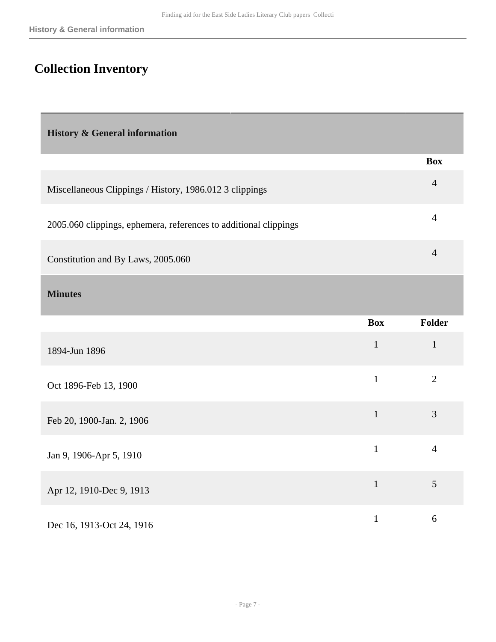## <span id="page-6-0"></span>**Collection Inventory**

<span id="page-6-1"></span>**History & General information** 

|                                                                  | <b>Box</b> |
|------------------------------------------------------------------|------------|
| Miscellaneous Clippings / History, 1986.012 3 clippings          | 4          |
| 2005.060 clippings, ephemera, references to additional clippings | 4          |
|                                                                  |            |

Constitution and By Laws, 2005.060 <sup>4</sup>

<span id="page-6-2"></span>**Minutes** 

|                           | <b>Box</b>   | Folder         |
|---------------------------|--------------|----------------|
| 1894-Jun 1896             | $\mathbf{1}$ | $\mathbf{1}$   |
| Oct 1896-Feb 13, 1900     | $\mathbf{1}$ | $\overline{2}$ |
| Feb 20, 1900-Jan. 2, 1906 | $\mathbf{1}$ | 3              |
| Jan 9, 1906-Apr 5, 1910   | $\mathbf{1}$ | $\overline{4}$ |
| Apr 12, 1910-Dec 9, 1913  | $\mathbf{1}$ | 5              |
| Dec 16, 1913-Oct 24, 1916 |              | 6              |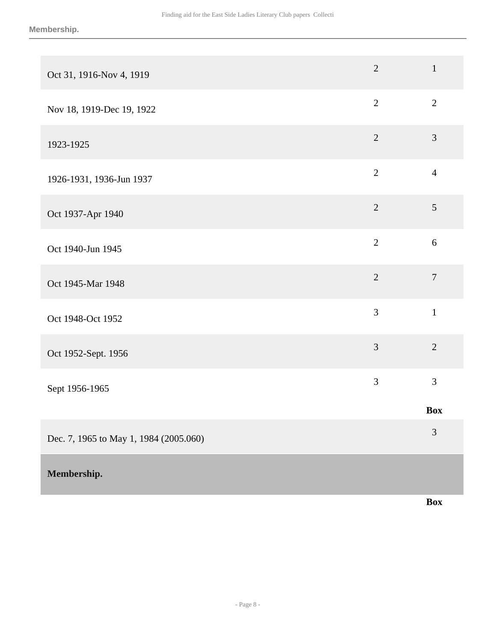| Oct 31, 1916-Nov 4, 1919               | $\overline{2}$ | $\mathbf{1}$     |
|----------------------------------------|----------------|------------------|
| Nov 18, 1919-Dec 19, 1922              | $\overline{2}$ | $\overline{2}$   |
| 1923-1925                              | $\overline{2}$ | $\mathfrak{Z}$   |
| 1926-1931, 1936-Jun 1937               | $\overline{2}$ | $\overline{4}$   |
| Oct 1937-Apr 1940                      | $\overline{2}$ | $\mathfrak{S}$   |
| Oct 1940-Jun 1945                      | $\overline{2}$ | 6                |
| Oct 1945-Mar 1948                      | $\overline{2}$ | $\boldsymbol{7}$ |
| Oct 1948-Oct 1952                      | $\overline{3}$ | $\mathbf{1}$     |
| Oct 1952-Sept. 1956                    | 3              | $\overline{2}$   |
| Sept 1956-1965                         | 3              | 3                |
|                                        |                | <b>Box</b>       |
| Dec. 7, 1965 to May 1, 1984 (2005.060) |                | 3                |
| Membership.                            |                |                  |

<span id="page-7-0"></span>**Box**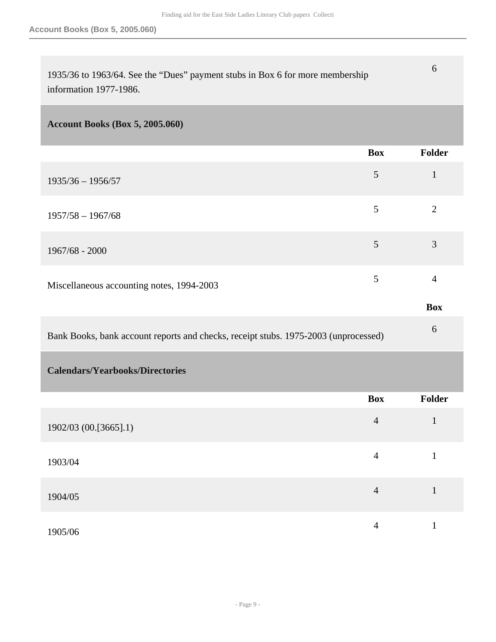6

| 1935/36 to 1963/64. See the "Dues" payment stubs in Box 6 for more membership |  |
|-------------------------------------------------------------------------------|--|
| information 1977-1986.                                                        |  |

### <span id="page-8-0"></span>**Account Books (Box 5, 2005.060)**

<span id="page-8-1"></span>

|                                                                                     | <b>Box</b>     | Folder         |
|-------------------------------------------------------------------------------------|----------------|----------------|
| $1935/36 - 1956/57$                                                                 | $\mathfrak{S}$ | $\mathbf{1}$   |
| $1957/58 - 1967/68$                                                                 | 5              | $\overline{2}$ |
| $1967/68 - 2000$                                                                    | 5              | 3              |
| Miscellaneous accounting notes, 1994-2003                                           | 5              | $\overline{4}$ |
|                                                                                     |                | <b>Box</b>     |
| Bank Books, bank account reports and checks, receipt stubs. 1975-2003 (unprocessed) |                | 6              |
| <b>Calendars/Yearbooks/Directories</b>                                              |                |                |
|                                                                                     | <b>Box</b>     | Folder         |
| 1902/03 (00.[3665].1)                                                               | $\overline{4}$ | $\mathbf{1}$   |
| 1903/04                                                                             | $\overline{4}$ | $\mathbf{1}$   |
| 1904/05                                                                             | $\overline{4}$ | $\mathbf{1}$   |
| 1905/06                                                                             | $\overline{4}$ | $\mathbf{1}$   |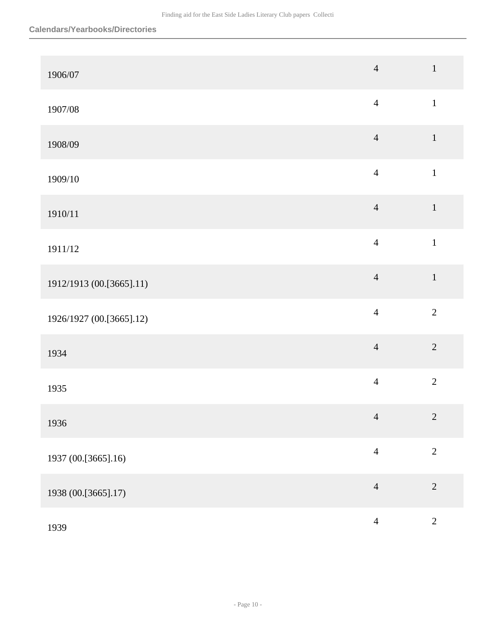| 1906/07                  | $\overline{4}$ | $\,1\,$        |
|--------------------------|----------------|----------------|
| 1907/08                  | $\overline{4}$ | $\,1\,$        |
| 1908/09                  | $\overline{4}$ | $\,1\,$        |
| 1909/10                  | $\overline{4}$ | $\mathbf 1$    |
| 1910/11                  | $\overline{4}$ | $\mathbf 1$    |
| 1911/12                  | $\overline{4}$ | $\mathbbm{1}$  |
| 1912/1913 (00.[3665].11) | $\overline{4}$ | $\,1\,$        |
| 1926/1927 (00.[3665].12) | $\overline{4}$ | $\overline{2}$ |
| 1934                     | $\overline{4}$ | $\overline{2}$ |
| 1935                     | $\overline{4}$ | $\overline{2}$ |
| 1936                     | $\overline{4}$ | $\sqrt{2}$     |
| 1937 (00.[3665].16)      | $\overline{4}$ | $\overline{2}$ |
| 1938 (00.[3665].17)      | $\overline{4}$ | $\overline{2}$ |
| 1939                     | $\overline{4}$ | $\overline{c}$ |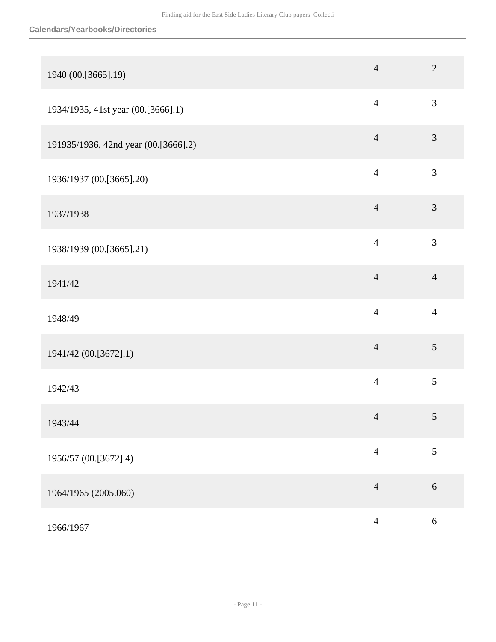#### **Calendars/Yearbooks/Directories**

| 1940 (00.[3665].19)                  | $\overline{4}$ | $\overline{2}$ |
|--------------------------------------|----------------|----------------|
| 1934/1935, 41st year (00.[3666].1)   | $\overline{4}$ | 3              |
| 191935/1936, 42nd year (00.[3666].2) | $\overline{4}$ | 3              |
| 1936/1937 (00.[3665].20)             | $\overline{4}$ | $\mathfrak{Z}$ |
| 1937/1938                            | $\overline{4}$ | $\mathfrak{Z}$ |
| 1938/1939 (00.[3665].21)             | $\overline{4}$ | $\mathfrak{Z}$ |
| 1941/42                              | $\overline{4}$ | $\overline{4}$ |
| 1948/49                              | $\overline{4}$ | $\overline{4}$ |
| 1941/42 (00.[3672].1)                | $\overline{4}$ | 5              |
| 1942/43                              | $\overline{4}$ | 5              |
| 1943/44                              | $\overline{4}$ | $\mathfrak{S}$ |
| 1956/57 (00.[3672].4)                | $\overline{4}$ | 5              |
| 1964/1965 (2005.060)                 | $\overline{4}$ | 6              |
| 1966/1967                            | $\overline{4}$ | $\sqrt{6}$     |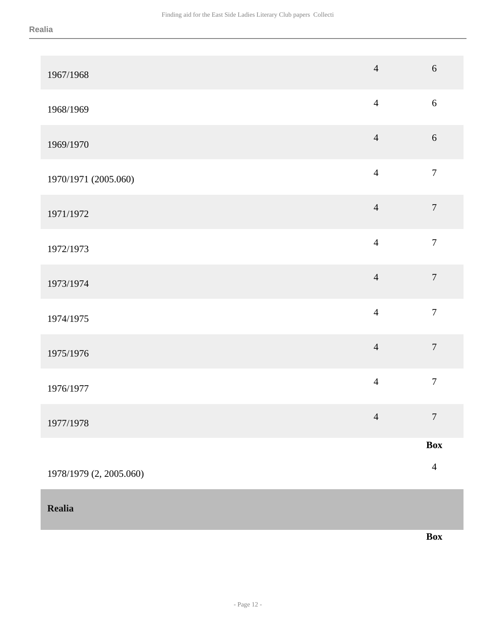<span id="page-11-0"></span>**Realia** 

| 1967/1968               | $\overline{4}$ | $\boldsymbol{6}$ |
|-------------------------|----------------|------------------|
| 1968/1969               | $\overline{4}$ | $\sqrt{6}$       |
| 1969/1970               | $\overline{4}$ | 6                |
| 1970/1971 (2005.060)    | $\overline{4}$ | $\boldsymbol{7}$ |
| 1971/1972               | $\overline{4}$ | $\boldsymbol{7}$ |
| 1972/1973               | $\overline{4}$ | $\boldsymbol{7}$ |
| 1973/1974               | $\overline{4}$ | $\boldsymbol{7}$ |
| 1974/1975               | $\overline{4}$ | $\boldsymbol{7}$ |
| 1975/1976               | $\overline{4}$ | $\boldsymbol{7}$ |
| 1976/1977               | $\overline{4}$ | $\boldsymbol{7}$ |
| 1977/1978               | $\overline{4}$ | $\overline{7}$   |
|                         |                | <b>Box</b>       |
| 1978/1979 (2, 2005.060) |                | $\overline{4}$   |

**Box**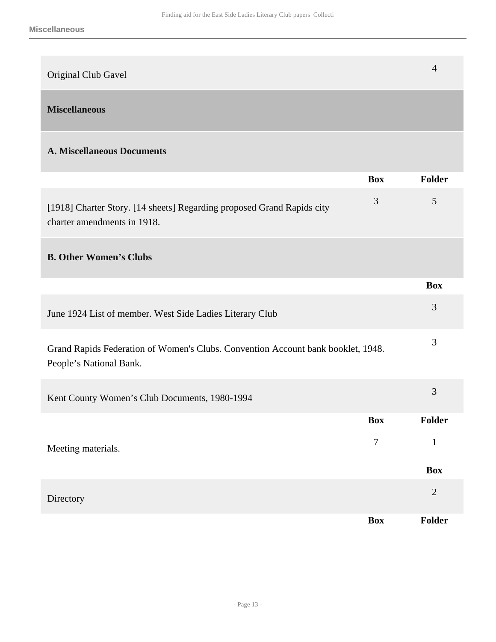<span id="page-12-0"></span>

| Original Club Gavel                                                                                         |            | $\overline{4}$ |
|-------------------------------------------------------------------------------------------------------------|------------|----------------|
| <b>Miscellaneous</b>                                                                                        |            |                |
| <b>A. Miscellaneous Documents</b>                                                                           |            |                |
|                                                                                                             | <b>Box</b> | Folder         |
| [1918] Charter Story. [14 sheets] Regarding proposed Grand Rapids city<br>charter amendments in 1918.       | 3          | 5              |
| <b>B. Other Women's Clubs</b>                                                                               |            |                |
|                                                                                                             |            | <b>Box</b>     |
| June 1924 List of member. West Side Ladies Literary Club                                                    |            | 3              |
| Grand Rapids Federation of Women's Clubs. Convention Account bank booklet, 1948.<br>People's National Bank. |            | 3              |
| Kent County Women's Club Documents, 1980-1994                                                               |            | 3              |
|                                                                                                             | <b>Box</b> | Folder         |
| Meeting materials.                                                                                          | $\tau$     | $\mathbf{1}$   |
|                                                                                                             |            | <b>Box</b>     |
| Directory                                                                                                   |            | $\sqrt{2}$     |
|                                                                                                             | <b>Box</b> | Folder         |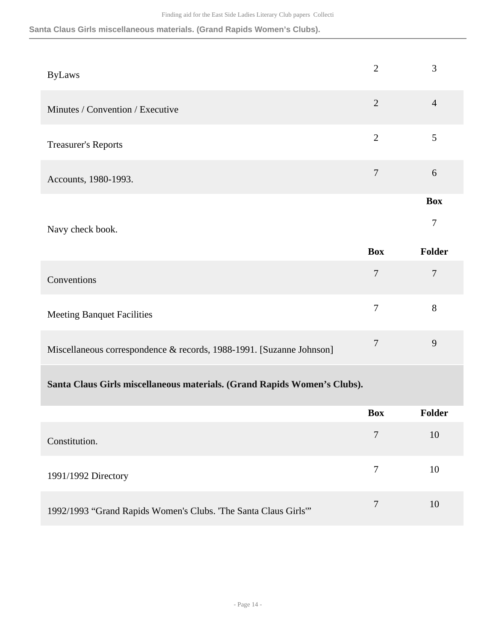**Santa Claus Girls miscellaneous materials. (Grand Rapids Women's Clubs).**

| <b>ByLaws</b>                    | $\overline{2}$ | 3              |
|----------------------------------|----------------|----------------|
| Minutes / Convention / Executive | $\overline{2}$ | $\overline{4}$ |
| <b>Treasurer's Reports</b>       | $\overline{2}$ | 5              |
| Accounts, 1980-1993.             | 7              | 6              |
|                                  |                | <b>Box</b>     |
| Navy check book.                 |                | 7              |

|                                                                      | <b>Box</b> | Folder |
|----------------------------------------------------------------------|------------|--------|
| Conventions                                                          |            |        |
| <b>Meeting Banquet Facilities</b>                                    |            | 8      |
| Miscellaneous correspondence & records, 1988-1991. [Suzanne Johnson] |            | 9      |

### **Santa Claus Girls miscellaneous materials. (Grand Rapids Women's Clubs).**

|                                                                 | <b>Box</b> | <b>Folder</b> |
|-----------------------------------------------------------------|------------|---------------|
| Constitution.                                                   | 7          | 10            |
| 1991/1992 Directory                                             |            | 10            |
| 1992/1993 "Grand Rapids Women's Clubs. "The Santa Claus Girls"" | 7          | 10            |